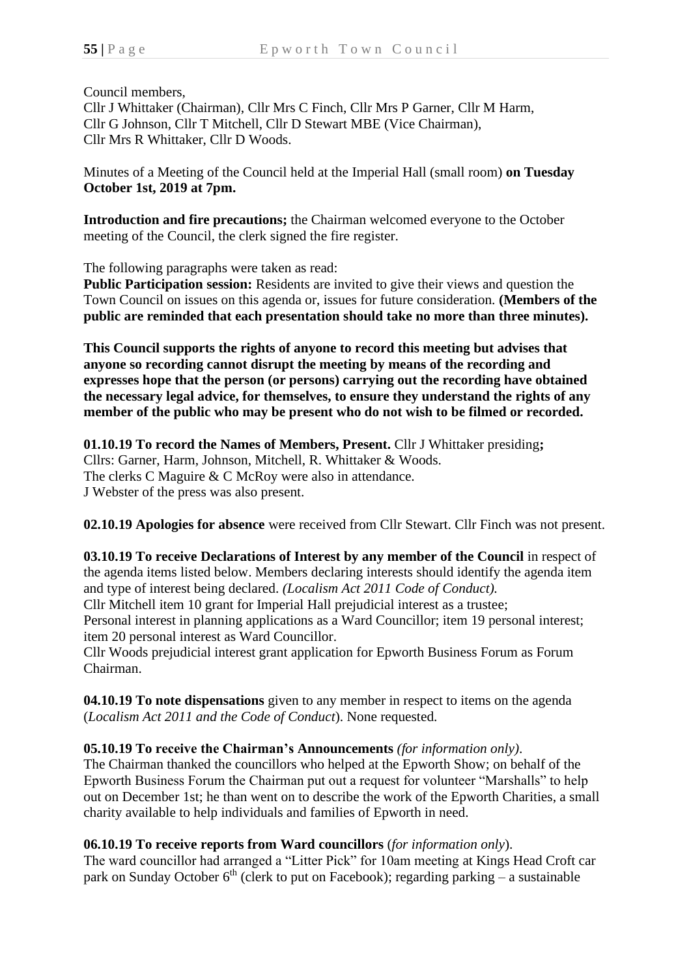Council members,

Cllr J Whittaker (Chairman), Cllr Mrs C Finch, Cllr Mrs P Garner, Cllr M Harm, Cllr G Johnson, Cllr T Mitchell, Cllr D Stewart MBE (Vice Chairman), Cllr Mrs R Whittaker, Cllr D Woods.

Minutes of a Meeting of the Council held at the Imperial Hall (small room) **on Tuesday October 1st, 2019 at 7pm.**

**Introduction and fire precautions;** the Chairman welcomed everyone to the October meeting of the Council, the clerk signed the fire register.

The following paragraphs were taken as read:

**Public Participation session:** Residents are invited to give their views and question the Town Council on issues on this agenda or, issues for future consideration. **(Members of the public are reminded that each presentation should take no more than three minutes).**

**This Council supports the rights of anyone to record this meeting but advises that anyone so recording cannot disrupt the meeting by means of the recording and expresses hope that the person (or persons) carrying out the recording have obtained the necessary legal advice, for themselves, to ensure they understand the rights of any member of the public who may be present who do not wish to be filmed or recorded.**

**01.10.19 To record the Names of Members, Present.** Cllr J Whittaker presiding**;** Cllrs: Garner, Harm, Johnson, Mitchell, R. Whittaker & Woods. The clerks C Maguire & C McRoy were also in attendance. J Webster of the press was also present.

**02.10.19 Apologies for absence** were received from Cllr Stewart. Cllr Finch was not present.

**03.10.19 To receive Declarations of Interest by any member of the Council** in respect of the agenda items listed below. Members declaring interests should identify the agenda item and type of interest being declared. *(Localism Act 2011 Code of Conduct).* Cllr Mitchell item 10 grant for Imperial Hall prejudicial interest as a trustee; Personal interest in planning applications as a Ward Councillor; item 19 personal interest; item 20 personal interest as Ward Councillor.

Cllr Woods prejudicial interest grant application for Epworth Business Forum as Forum Chairman.

**04.10.19 To note dispensations** given to any member in respect to items on the agenda (*Localism Act 2011 and the Code of Conduct*). None requested.

# **05.10.19 To receive the Chairman's Announcements** *(for information only)*.

The Chairman thanked the councillors who helped at the Epworth Show; on behalf of the Epworth Business Forum the Chairman put out a request for volunteer "Marshalls" to help out on December 1st; he than went on to describe the work of the Epworth Charities, a small charity available to help individuals and families of Epworth in need.

# **06.10.19 To receive reports from Ward councillors** (*for information only*).

The ward councillor had arranged a "Litter Pick" for 10am meeting at Kings Head Croft car park on Sunday October  $6<sup>th</sup>$  (clerk to put on Facebook); regarding parking – a sustainable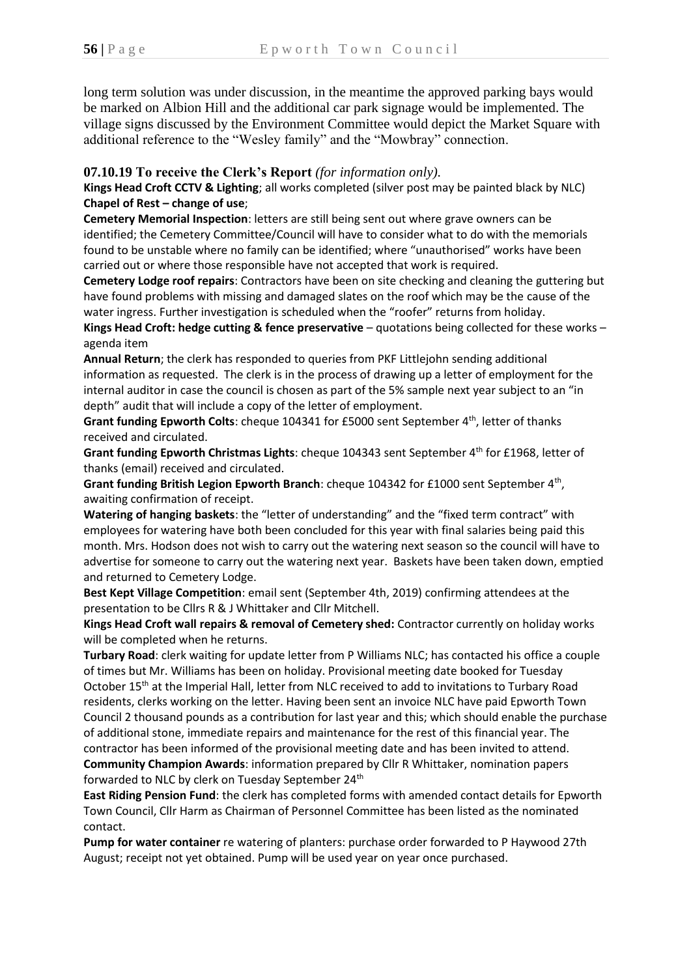long term solution was under discussion, in the meantime the approved parking bays would be marked on Albion Hill and the additional car park signage would be implemented. The village signs discussed by the Environment Committee would depict the Market Square with additional reference to the "Wesley family" and the "Mowbray" connection.

## **07.10.19 To receive the Clerk's Report** *(for information only).*

**Kings Head Croft CCTV & Lighting**; all works completed (silver post may be painted black by NLC) **Chapel of Rest – change of use**;

**Cemetery Memorial Inspection**: letters are still being sent out where grave owners can be identified; the Cemetery Committee/Council will have to consider what to do with the memorials found to be unstable where no family can be identified; where "unauthorised" works have been carried out or where those responsible have not accepted that work is required.

**Cemetery Lodge roof repairs**: Contractors have been on site checking and cleaning the guttering but have found problems with missing and damaged slates on the roof which may be the cause of the water ingress. Further investigation is scheduled when the "roofer" returns from holiday. **Kings Head Croft: hedge cutting & fence preservative** – quotations being collected for these works – agenda item

**Annual Return**; the clerk has responded to queries from PKF Littlejohn sending additional information as requested. The clerk is in the process of drawing up a letter of employment for the internal auditor in case the council is chosen as part of the 5% sample next year subject to an "in depth" audit that will include a copy of the letter of employment.

**Grant funding Epworth Colts**: cheque 104341 for £5000 sent September 4th, letter of thanks received and circulated.

Grant funding Epworth Christmas Lights: cheque 104343 sent September 4<sup>th</sup> for £1968, letter of thanks (email) received and circulated.

Grant funding British Legion Epworth Branch: cheque 104342 for £1000 sent September 4<sup>th</sup>, awaiting confirmation of receipt.

**Watering of hanging baskets**: the "letter of understanding" and the "fixed term contract" with employees for watering have both been concluded for this year with final salaries being paid this month. Mrs. Hodson does not wish to carry out the watering next season so the council will have to advertise for someone to carry out the watering next year. Baskets have been taken down, emptied and returned to Cemetery Lodge.

**Best Kept Village Competition**: email sent (September 4th, 2019) confirming attendees at the presentation to be Cllrs R & J Whittaker and Cllr Mitchell.

**Kings Head Croft wall repairs & removal of Cemetery shed:** Contractor currently on holiday works will be completed when he returns.

**Turbary Road**: clerk waiting for update letter from P Williams NLC; has contacted his office a couple of times but Mr. Williams has been on holiday. Provisional meeting date booked for Tuesday October 15th at the Imperial Hall, letter from NLC received to add to invitations to Turbary Road residents, clerks working on the letter. Having been sent an invoice NLC have paid Epworth Town Council 2 thousand pounds as a contribution for last year and this; which should enable the purchase of additional stone, immediate repairs and maintenance for the rest of this financial year. The contractor has been informed of the provisional meeting date and has been invited to attend.

**Community Champion Awards**: information prepared by Cllr R Whittaker, nomination papers forwarded to NLC by clerk on Tuesday September 24<sup>th</sup>

**East Riding Pension Fund**: the clerk has completed forms with amended contact details for Epworth Town Council, Cllr Harm as Chairman of Personnel Committee has been listed as the nominated contact.

**Pump for water container** re watering of planters: purchase order forwarded to P Haywood 27th August; receipt not yet obtained. Pump will be used year on year once purchased.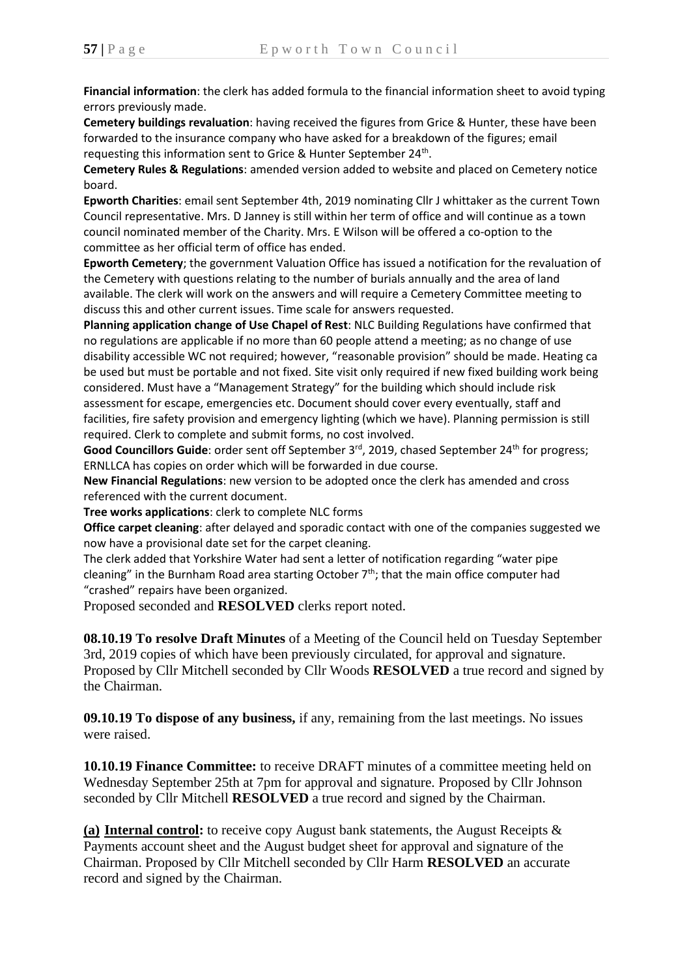**Financial information**: the clerk has added formula to the financial information sheet to avoid typing errors previously made.

**Cemetery buildings revaluation**: having received the figures from Grice & Hunter, these have been forwarded to the insurance company who have asked for a breakdown of the figures; email requesting this information sent to Grice & Hunter September 24<sup>th</sup>.

**Cemetery Rules & Regulations**: amended version added to website and placed on Cemetery notice board.

**Epworth Charities**: email sent September 4th, 2019 nominating Cllr J whittaker as the current Town Council representative. Mrs. D Janney is still within her term of office and will continue as a town council nominated member of the Charity. Mrs. E Wilson will be offered a co-option to the committee as her official term of office has ended.

**Epworth Cemetery**; the government Valuation Office has issued a notification for the revaluation of the Cemetery with questions relating to the number of burials annually and the area of land available. The clerk will work on the answers and will require a Cemetery Committee meeting to discuss this and other current issues. Time scale for answers requested.

**Planning application change of Use Chapel of Rest**: NLC Building Regulations have confirmed that no regulations are applicable if no more than 60 people attend a meeting; as no change of use disability accessible WC not required; however, "reasonable provision" should be made. Heating ca be used but must be portable and not fixed. Site visit only required if new fixed building work being considered. Must have a "Management Strategy" for the building which should include risk assessment for escape, emergencies etc. Document should cover every eventually, staff and facilities, fire safety provision and emergency lighting (which we have). Planning permission is still required. Clerk to complete and submit forms, no cost involved.

Good Councillors Guide: order sent off September 3<sup>rd</sup>, 2019, chased September 24<sup>th</sup> for progress; ERNLLCA has copies on order which will be forwarded in due course.

**New Financial Regulations**: new version to be adopted once the clerk has amended and cross referenced with the current document.

**Tree works applications**: clerk to complete NLC forms

**Office carpet cleaning**: after delayed and sporadic contact with one of the companies suggested we now have a provisional date set for the carpet cleaning.

The clerk added that Yorkshire Water had sent a letter of notification regarding "water pipe cleaning" in the Burnham Road area starting October  $7<sup>th</sup>$ ; that the main office computer had "crashed" repairs have been organized.

Proposed seconded and **RESOLVED** clerks report noted.

**08.10.19 To resolve Draft Minutes** of a Meeting of the Council held on Tuesday September 3rd, 2019 copies of which have been previously circulated, for approval and signature. Proposed by Cllr Mitchell seconded by Cllr Woods **RESOLVED** a true record and signed by the Chairman.

**09.10.19 To dispose of any business,** if any, remaining from the last meetings. No issues were raised.

**10.10.19 Finance Committee:** to receive DRAFT minutes of a committee meeting held on Wednesday September 25th at 7pm for approval and signature. Proposed by Cllr Johnson seconded by Cllr Mitchell **RESOLVED** a true record and signed by the Chairman.

**(a) Internal control:** to receive copy August bank statements, the August Receipts & Payments account sheet and the August budget sheet for approval and signature of the Chairman. Proposed by Cllr Mitchell seconded by Cllr Harm **RESOLVED** an accurate record and signed by the Chairman.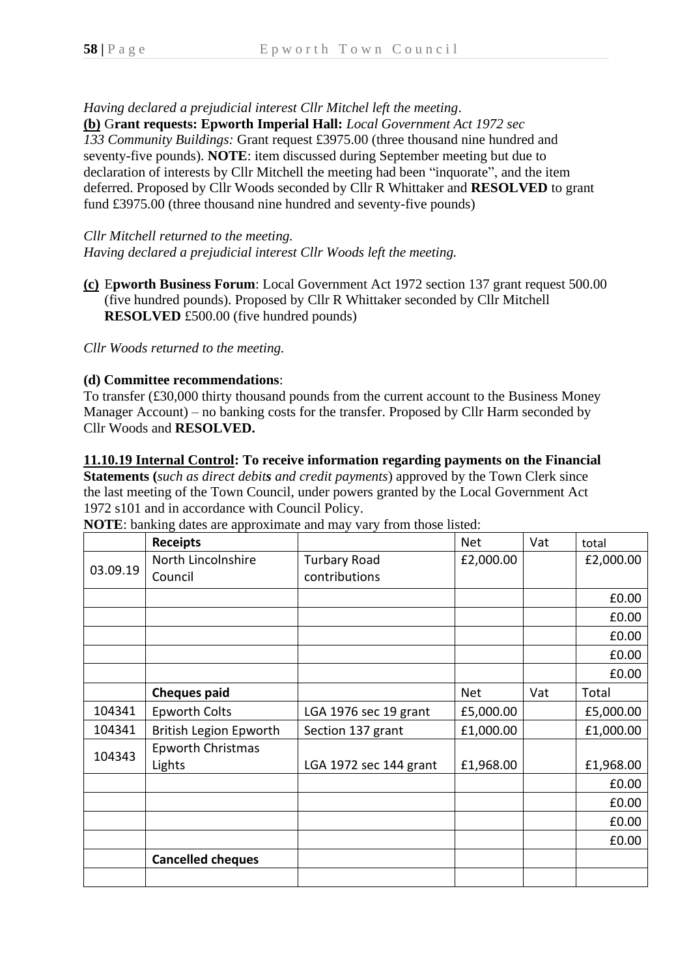*Having declared a prejudicial interest Cllr Mitchel left the meeting*.

**(b)** G**rant requests: Epworth Imperial Hall:** *Local Government Act 1972 sec* 

*133 Community Buildings:* Grant request £3975.00 (three thousand nine hundred and seventy-five pounds). **NOTE**: item discussed during September meeting but due to declaration of interests by Cllr Mitchell the meeting had been "inquorate", and the item deferred. Proposed by Cllr Woods seconded by Cllr R Whittaker and **RESOLVED** to grant fund £3975.00 (three thousand nine hundred and seventy-five pounds)

*Cllr Mitchell returned to the meeting. Having declared a prejudicial interest Cllr Woods left the meeting.*

**(c)** E**pworth Business Forum**: Local Government Act 1972 section 137 grant request 500.00 (five hundred pounds). Proposed by Cllr R Whittaker seconded by Cllr Mitchell **RESOLVED** £500.00 (five hundred pounds)

*Cllr Woods returned to the meeting.*

#### **(d) Committee recommendations**:

To transfer (£30,000 thirty thousand pounds from the current account to the Business Money Manager Account) – no banking costs for the transfer. Proposed by Cllr Harm seconded by Cllr Woods and **RESOLVED.**

#### **11.10.19 Internal Control: To receive information regarding payments on the Financial**

**Statements (***such as direct debits and credit payments*) approved by the Town Clerk since the last meeting of the Town Council, under powers granted by the Local Government Act 1972 s101 and in accordance with Council Policy.

| <b>NOTE:</b> banking dates are approximate and may vary from those listed: |  |
|----------------------------------------------------------------------------|--|
|----------------------------------------------------------------------------|--|

|          | <b>Receipts</b>                    |                        | <b>Net</b> | Vat | total     |
|----------|------------------------------------|------------------------|------------|-----|-----------|
| 03.09.19 | North Lincolnshire                 | <b>Turbary Road</b>    | £2,000.00  |     | £2,000.00 |
|          | Council                            | contributions          |            |     |           |
|          |                                    |                        |            |     | £0.00     |
|          |                                    |                        |            |     | £0.00     |
|          |                                    |                        |            |     | £0.00     |
|          |                                    |                        |            |     | £0.00     |
|          |                                    |                        |            |     | £0.00     |
|          | <b>Cheques paid</b>                |                        | <b>Net</b> | Vat | Total     |
| 104341   | <b>Epworth Colts</b>               | LGA 1976 sec 19 grant  | £5,000.00  |     | £5,000.00 |
| 104341   | <b>British Legion Epworth</b>      | Section 137 grant      | £1,000.00  |     | £1,000.00 |
| 104343   | <b>Epworth Christmas</b><br>Lights | LGA 1972 sec 144 grant | £1,968.00  |     | £1,968.00 |
|          |                                    |                        |            |     | £0.00     |
|          |                                    |                        |            |     | £0.00     |
|          |                                    |                        |            |     | £0.00     |
|          |                                    |                        |            |     | £0.00     |
|          | <b>Cancelled cheques</b>           |                        |            |     |           |
|          |                                    |                        |            |     |           |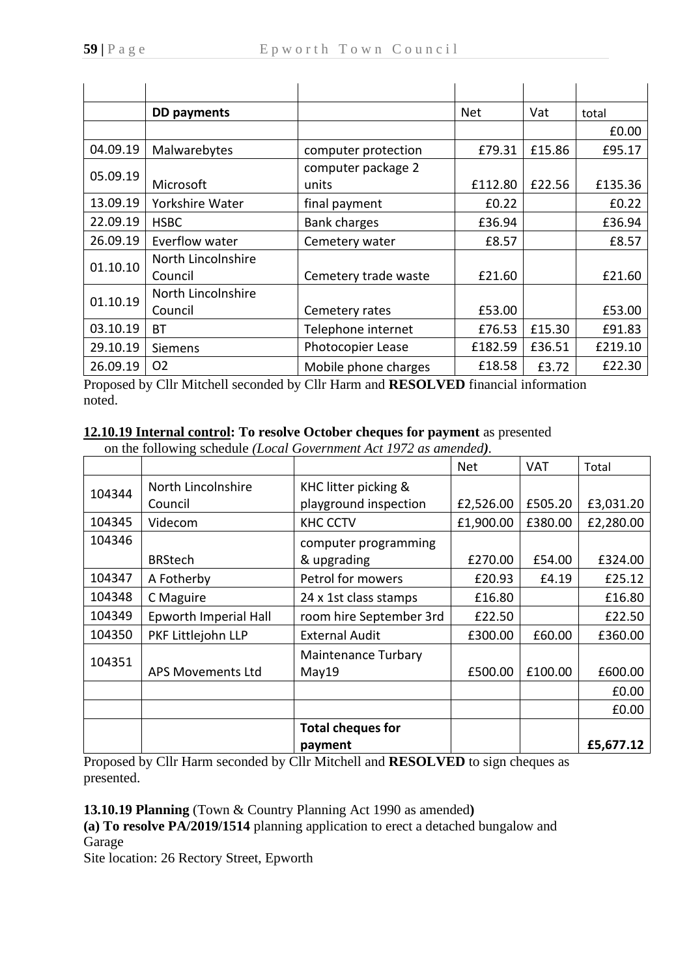|          | <b>DD</b> payments |                      | <b>Net</b> | Vat    | total   |
|----------|--------------------|----------------------|------------|--------|---------|
|          |                    |                      |            |        | £0.00   |
| 04.09.19 | Malwarebytes       | computer protection  | £79.31     | £15.86 | £95.17  |
| 05.09.19 |                    | computer package 2   |            |        |         |
|          | Microsoft          | units                | £112.80    | £22.56 | £135.36 |
| 13.09.19 | Yorkshire Water    | final payment        | £0.22      |        | £0.22   |
| 22.09.19 | <b>HSBC</b>        | <b>Bank charges</b>  | £36.94     |        | £36.94  |
| 26.09.19 | Everflow water     | Cemetery water       | £8.57      |        | £8.57   |
| 01.10.10 | North Lincolnshire |                      |            |        |         |
|          | Council            | Cemetery trade waste | £21.60     |        | £21.60  |
| 01.10.19 | North Lincolnshire |                      |            |        |         |
|          | Council            | Cemetery rates       | £53.00     |        | £53.00  |
| 03.10.19 | ВT                 | Telephone internet   | £76.53     | £15.30 | £91.83  |
| 29.10.19 | <b>Siemens</b>     | Photocopier Lease    | £182.59    | £36.51 | £219.10 |
| 26.09.19 | O <sub>2</sub>     | Mobile phone charges | £18.58     | £3.72  | £22.30  |

Proposed by Cllr Mitchell seconded by Cllr Harm and **RESOLVED** financial information noted.

## **12.10.19 Internal control: To resolve October cheques for payment** as presented

on the following schedule *(Local Government Act 1972 as amended).*

|        |                          |                          | <b>Net</b> | <b>VAT</b> | Total     |
|--------|--------------------------|--------------------------|------------|------------|-----------|
| 104344 | North Lincolnshire       | KHC litter picking &     |            |            |           |
|        | Council                  | playground inspection    | £2,526.00  | £505.20    | £3,031.20 |
| 104345 | Videcom                  | <b>KHC CCTV</b>          | £1,900.00  | £380.00    | £2,280.00 |
| 104346 |                          | computer programming     |            |            |           |
|        | <b>BRStech</b>           | & upgrading              | £270.00    | £54.00     | £324.00   |
| 104347 | A Fotherby               | Petrol for mowers        | £20.93     | £4.19      | £25.12    |
| 104348 | C Maguire                | 24 x 1st class stamps    | £16.80     |            | £16.80    |
| 104349 | Epworth Imperial Hall    | room hire September 3rd  | £22.50     |            | £22.50    |
| 104350 | PKF Littlejohn LLP       | <b>External Audit</b>    | £300.00    | £60.00     | £360.00   |
| 104351 |                          | Maintenance Turbary      |            |            |           |
|        | <b>APS Movements Ltd</b> | May19                    | £500.00    | £100.00    | £600.00   |
|        |                          |                          |            |            | £0.00     |
|        |                          |                          |            |            | £0.00     |
|        |                          | <b>Total cheques for</b> |            |            |           |
|        |                          | payment                  |            |            | £5,677.12 |

Proposed by Cllr Harm seconded by Cllr Mitchell and **RESOLVED** to sign cheques as presented.

**13.10.19 Planning** (Town & Country Planning Act 1990 as amended**)**

**(a) To resolve PA/2019/1514** planning application to erect a detached bungalow and Garage

Site location: 26 Rectory Street, Epworth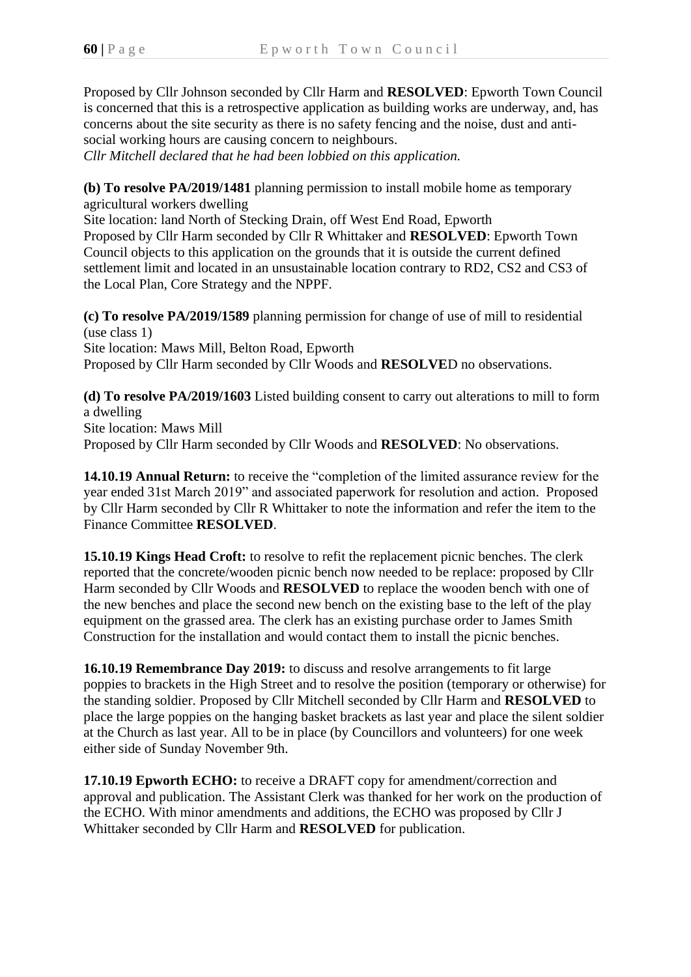Proposed by Cllr Johnson seconded by Cllr Harm and **RESOLVED**: Epworth Town Council is concerned that this is a retrospective application as building works are underway, and, has concerns about the site security as there is no safety fencing and the noise, dust and antisocial working hours are causing concern to neighbours.

*Cllr Mitchell declared that he had been lobbied on this application.*

**(b) To resolve PA/2019/1481** planning permission to install mobile home as temporary agricultural workers dwelling

Site location: land North of Stecking Drain, off West End Road, Epworth Proposed by Cllr Harm seconded by Cllr R Whittaker and **RESOLVED**: Epworth Town Council objects to this application on the grounds that it is outside the current defined settlement limit and located in an unsustainable location contrary to RD2, CS2 and CS3 of the Local Plan, Core Strategy and the NPPF.

**(c) To resolve PA/2019/1589** planning permission for change of use of mill to residential (use class 1) Site location: Maws Mill, Belton Road, Epworth Proposed by Cllr Harm seconded by Cllr Woods and **RESOLVE**D no observations.

**(d) To resolve PA/2019/1603** Listed building consent to carry out alterations to mill to form a dwelling Site location: Maws Mill Proposed by Cllr Harm seconded by Cllr Woods and **RESOLVED**: No observations.

**14.10.19 Annual Return:** to receive the "completion of the limited assurance review for the year ended 31st March 2019" and associated paperwork for resolution and action. Proposed by Cllr Harm seconded by Cllr R Whittaker to note the information and refer the item to the Finance Committee **RESOLVED**.

**15.10.19 Kings Head Croft:** to resolve to refit the replacement picnic benches. The clerk reported that the concrete/wooden picnic bench now needed to be replace: proposed by Cllr Harm seconded by Cllr Woods and **RESOLVED** to replace the wooden bench with one of the new benches and place the second new bench on the existing base to the left of the play equipment on the grassed area. The clerk has an existing purchase order to James Smith Construction for the installation and would contact them to install the picnic benches.

**16.10.19 Remembrance Day 2019:** to discuss and resolve arrangements to fit large poppies to brackets in the High Street and to resolve the position (temporary or otherwise) for the standing soldier. Proposed by Cllr Mitchell seconded by Cllr Harm and **RESOLVED** to place the large poppies on the hanging basket brackets as last year and place the silent soldier at the Church as last year. All to be in place (by Councillors and volunteers) for one week either side of Sunday November 9th.

**17.10.19 Epworth ECHO:** to receive a DRAFT copy for amendment/correction and approval and publication. The Assistant Clerk was thanked for her work on the production of the ECHO. With minor amendments and additions, the ECHO was proposed by Cllr J Whittaker seconded by Cllr Harm and **RESOLVED** for publication.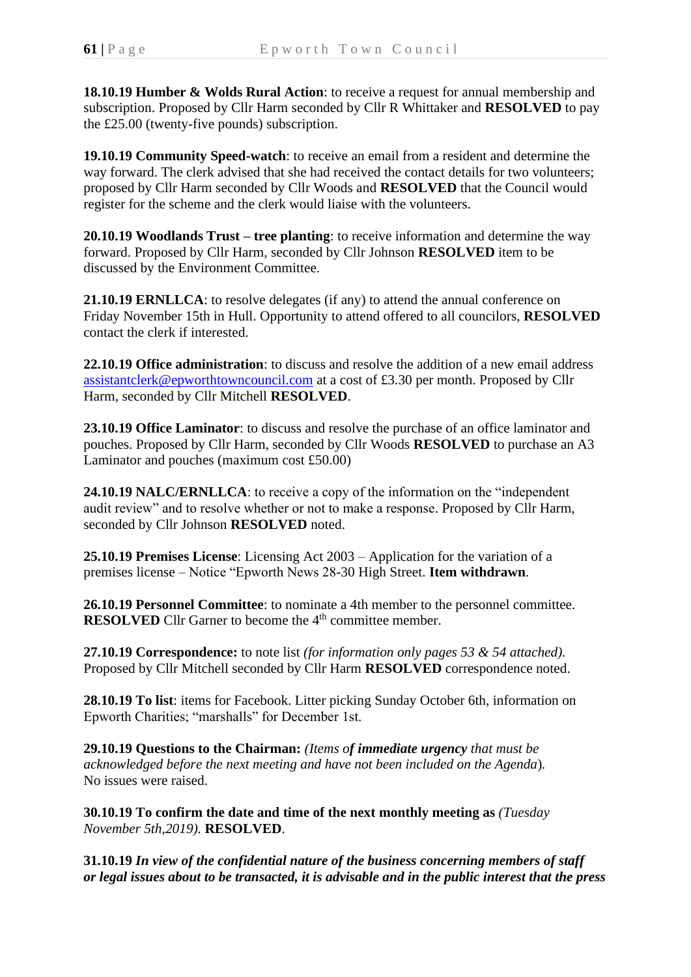**18.10.19 Humber & Wolds Rural Action**: to receive a request for annual membership and subscription. Proposed by Cllr Harm seconded by Cllr R Whittaker and **RESOLVED** to pay the £25.00 (twenty-five pounds) subscription.

**19.10.19 Community Speed-watch**: to receive an email from a resident and determine the way forward. The clerk advised that she had received the contact details for two volunteers; proposed by Cllr Harm seconded by Cllr Woods and **RESOLVED** that the Council would register for the scheme and the clerk would liaise with the volunteers.

**20.10.19 Woodlands Trust – tree planting**: to receive information and determine the way forward. Proposed by Cllr Harm, seconded by Cllr Johnson **RESOLVED** item to be discussed by the Environment Committee.

**21.10.19 ERNLLCA**: to resolve delegates (if any) to attend the annual conference on Friday November 15th in Hull. Opportunity to attend offered to all councilors, **RESOLVED** contact the clerk if interested.

**22.10.19 Office administration**: to discuss and resolve the addition of a new email address [assistantclerk@epworthtowncouncil.com](mailto:assistantclerk@epworthtowncouncil.com) at a cost of £3.30 per month. Proposed by Cllr Harm, seconded by Cllr Mitchell **RESOLVED**.

**23.10.19 Office Laminator**: to discuss and resolve the purchase of an office laminator and pouches. Proposed by Cllr Harm, seconded by Cllr Woods **RESOLVED** to purchase an A3 Laminator and pouches (maximum cost £50.00)

**24.10.19 NALC/ERNLLCA**: to receive a copy of the information on the "independent audit review" and to resolve whether or not to make a response. Proposed by Cllr Harm, seconded by Cllr Johnson **RESOLVED** noted.

**25.10.19 Premises License**: Licensing Act 2003 – Application for the variation of a premises license – Notice "Epworth News 28-30 High Street. **Item withdrawn**.

**26.10.19 Personnel Committee**: to nominate a 4th member to the personnel committee. **RESOLVED** Cllr Garner to become the 4<sup>th</sup> committee member.

**27.10.19 Correspondence:** to note list *(for information only pages 53 & 54 attached).* Proposed by Cllr Mitchell seconded by Cllr Harm **RESOLVED** correspondence noted.

**28.10.19 To list**: items for Facebook. Litter picking Sunday October 6th, information on Epworth Charities; "marshalls" for December 1st.

**29.10.19 Questions to the Chairman:** *(Items of immediate urgency that must be acknowledged before the next meeting and have not been included on the Agenda*)*.* No issues were raised.

**30.10.19 To confirm the date and time of the next monthly meeting as** *(Tuesday November 5th,2019).* **RESOLVED**.

**31.10.19** *In view of the confidential nature of the business concerning members of staff or legal issues about to be transacted, it is advisable and in the public interest that the press*